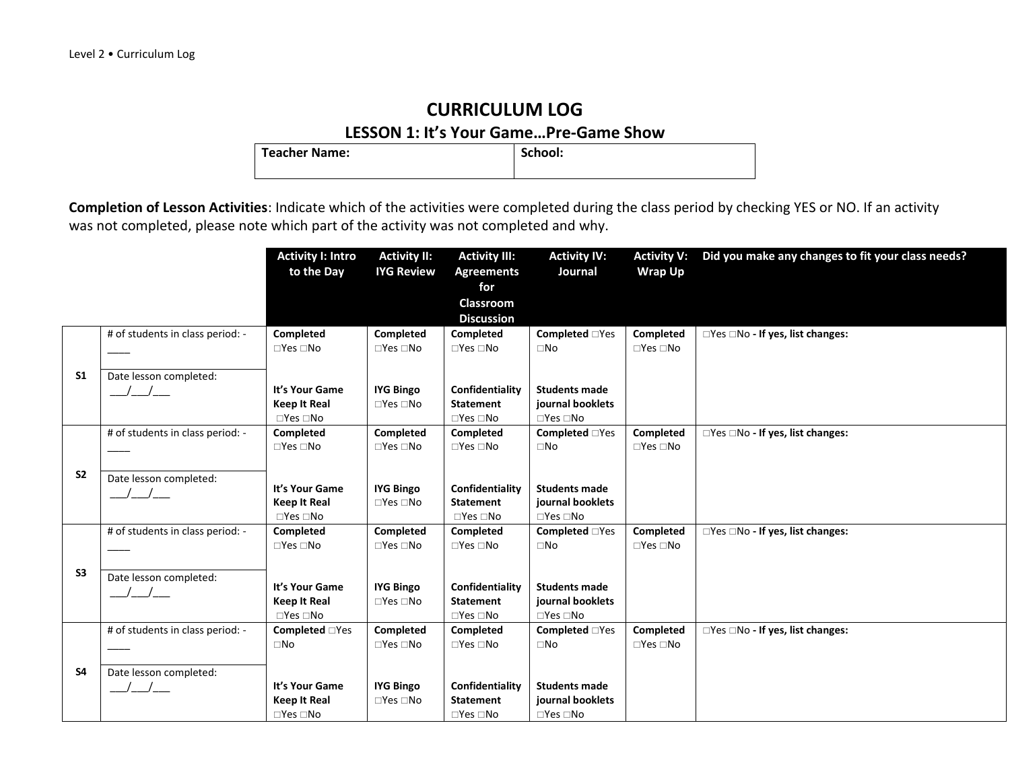**LESSON 1: It's Your Game...Pre-Game Show**<br>| School: | School: **Teacher Name:** 

|                |                                  | <b>Activity I: Intro</b>                    | <b>Activity II:</b>        | <b>Activity III:</b>                     | <b>Activity IV:</b>                      | <b>Activity V:</b>         | Did you make any changes to fit your class needs? |
|----------------|----------------------------------|---------------------------------------------|----------------------------|------------------------------------------|------------------------------------------|----------------------------|---------------------------------------------------|
|                |                                  | to the Day                                  | <b>IYG Review</b>          | <b>Agreements</b>                        | Journal                                  | <b>Wrap Up</b>             |                                                   |
|                |                                  |                                             |                            | for                                      |                                          |                            |                                                   |
|                |                                  |                                             |                            | Classroom                                |                                          |                            |                                                   |
|                |                                  |                                             |                            | <b>Discussion</b>                        |                                          |                            |                                                   |
|                | # of students in class period: - | Completed                                   | Completed                  | Completed                                | <b>Completed</b> □Yes                    | Completed                  | □Yes □No - If yes, list changes:                  |
|                |                                  | $\Box$ Yes $\Box$ No                        | $\square$ Yes $\square$ No | $\Box$ Yes $\Box$ No                     | $\square$ No                             | $\Box$ Yes $\Box$ No       |                                                   |
| S <sub>1</sub> | Date lesson completed:           |                                             |                            |                                          |                                          |                            |                                                   |
|                |                                  | It's Your Game                              | <b>IYG Bingo</b>           | Confidentiality                          | <b>Students made</b>                     |                            |                                                   |
|                |                                  | <b>Keep It Real</b>                         | $\Box$ Yes $\Box$ No       | <b>Statement</b>                         | journal booklets                         |                            |                                                   |
|                |                                  | $\Box$ Yes $\Box$ No                        |                            | $\Box$ Yes $\Box$ No                     | $\Box$ Yes $\Box$ No                     |                            |                                                   |
|                | # of students in class period: - | Completed                                   | Completed                  | Completed                                | <b>Completed</b> □Yes                    | Completed                  | □Yes □No - If yes, list changes:                  |
|                |                                  | $\Box$ Yes $\Box$ No                        | $\square$ Yes $\square$ No | $\square$ Yes $\square$ No               | $\square$ No                             | $\Box$ Yes $\Box$ No       |                                                   |
|                |                                  |                                             |                            |                                          |                                          |                            |                                                   |
| S <sub>2</sub> | Date lesson completed:           |                                             |                            |                                          |                                          |                            |                                                   |
|                |                                  | It's Your Game                              | <b>IYG Bingo</b>           | Confidentiality                          | <b>Students made</b><br>journal booklets |                            |                                                   |
|                |                                  | <b>Keep It Real</b><br>$\Box$ Yes $\Box$ No | $\square$ Yes $\square$ No | <b>Statement</b><br>$\Box$ Yes $\Box$ No | $\Box$ Yes $\Box$ No                     |                            |                                                   |
|                | # of students in class period: - | Completed                                   | Completed                  | <b>Completed</b>                         | <b>Completed</b> □Yes                    | Completed                  | $\Box$ Yes $\Box$ No - If yes, list changes:      |
|                |                                  | $\Box$ Yes $\Box$ No                        | $\Box$ Yes $\Box$ No       | $\square$ Yes $\square$ No               | $\square$ No                             | $\square$ Yes $\square$ No |                                                   |
|                |                                  |                                             |                            |                                          |                                          |                            |                                                   |
| S <sub>3</sub> | Date lesson completed:           |                                             |                            |                                          |                                          |                            |                                                   |
|                |                                  | It's Your Game                              | <b>IYG Bingo</b>           | Confidentiality                          | <b>Students made</b>                     |                            |                                                   |
|                |                                  | <b>Keep It Real</b>                         | $\Box$ Yes $\Box$ No       | <b>Statement</b>                         | journal booklets                         |                            |                                                   |
|                | # of students in class period: - | $\Box$ Yes $\Box$ No                        | Completed                  | $\Box$ Yes $\Box$ No                     | $\Box$ Yes $\Box$ No                     | Completed                  |                                                   |
|                |                                  | <b>Completed</b> □Yes<br>$\square$ No       | $\Box$ Yes $\Box$ No       | Completed<br>$\square$ Yes $\square$ No  | <b>Completed</b> □Yes<br>$\square$ No    | $\Box$ Yes $\Box$ No       | □Yes □No - If yes, list changes:                  |
|                |                                  |                                             |                            |                                          |                                          |                            |                                                   |
| <b>S4</b>      | Date lesson completed:           |                                             |                            |                                          |                                          |                            |                                                   |
|                |                                  | It's Your Game                              | <b>IYG Bingo</b>           | Confidentiality                          | <b>Students made</b>                     |                            |                                                   |
|                |                                  | <b>Keep It Real</b>                         | $\square$ Yes $\square$ No | <b>Statement</b>                         | journal booklets                         |                            |                                                   |
|                |                                  | $\Box$ Yes $\Box$ No                        |                            | $\Box$ Yes $\Box$ No                     | $\Box$ Yes $\Box$ No                     |                            |                                                   |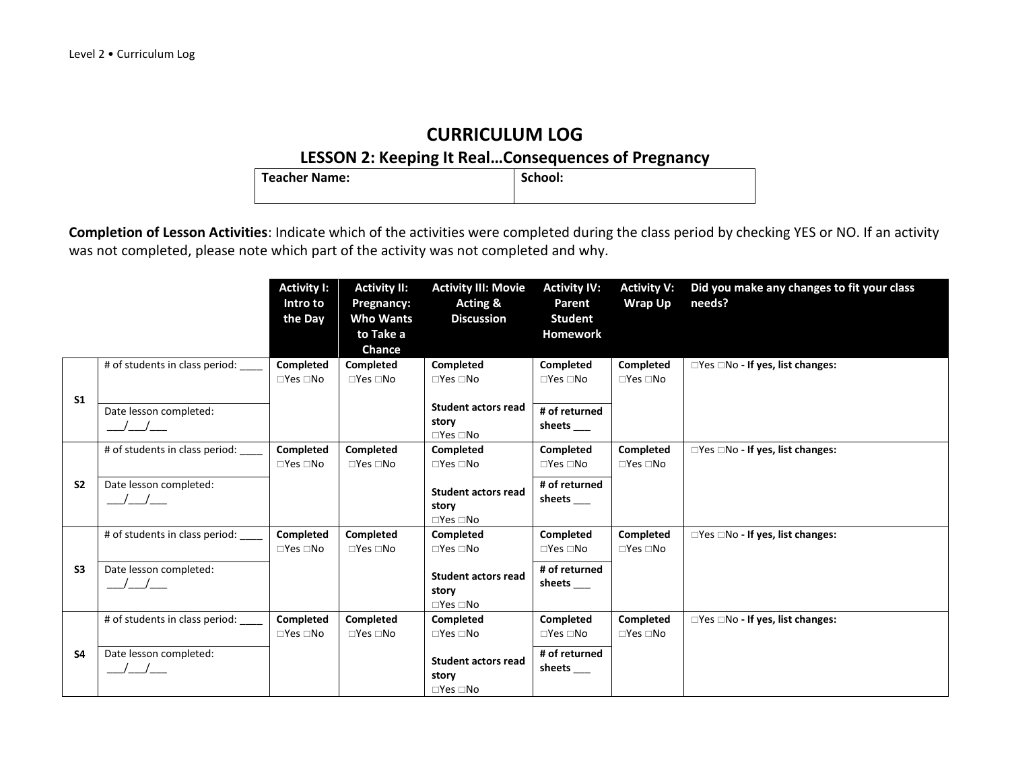#### **LESSON 2: Keeping It Real…Consequences of Pregnancy**

| <b>Teacher Name:</b> | School: |
|----------------------|---------|
|                      |         |

|                |                                                              | <b>Activity I:</b><br>Intro to<br>the Day | <b>Activity II:</b><br>Pregnancy:<br><b>Who Wants</b><br>to Take a | <b>Activity III: Movie</b><br><b>Acting &amp;</b><br><b>Discussion</b>                                 | <b>Activity IV:</b><br>Parent<br><b>Student</b><br><b>Homework</b>        | <b>Activity V:</b><br><b>Wrap Up</b> | Did you make any changes to fit your class<br>needs? |
|----------------|--------------------------------------------------------------|-------------------------------------------|--------------------------------------------------------------------|--------------------------------------------------------------------------------------------------------|---------------------------------------------------------------------------|--------------------------------------|------------------------------------------------------|
| S <sub>1</sub> | # of students in class period: _<br>Date lesson completed:   | Completed<br>$\square$ Yes $\square$ No   | <b>Chance</b><br><b>Completed</b><br>$\Box$ Yes $\Box$ No          | Completed<br>$\square$ Yes $\square$ No<br><b>Student actors read</b><br>story                         | Completed<br>$\square$ Yes $\square$ No<br># of returned                  | Completed<br>$\Box$ Yes $\Box$ No    | $\Box$ Yes $\Box$ No - If yes, list changes:         |
| S <sub>2</sub> | # of students in class period: ___<br>Date lesson completed: | Completed<br>$\Box$ Yes $\Box$ No         | <b>Completed</b><br>$\Box$ Yes $\Box$ No                           | $\square$ Yes $\square$ No<br><b>Completed</b><br>$\square$ Yes $\square$ No                           | sheets $\_\_$<br>Completed<br>$\square$ Yes $\square$ No<br># of returned | Completed<br>$\Box$ Yes $\Box$ No    | $\Box$ Yes $\Box$ No - If yes, list changes:         |
|                | $\sqrt{2}$<br># of students in class period:                 | Completed                                 | Completed                                                          | <b>Student actors read</b><br>story<br>$\square$ Yes $\square$ No<br>Completed                         | sheets_<br>Completed                                                      | Completed                            | □Yes □No - If yes, list changes:                     |
| S3             | Date lesson completed:                                       | $\Box$ Yes $\Box$ No                      | $\Box$ Yes $\Box$ No                                               | $\square$ Yes $\square$ No<br><b>Student actors read</b><br>story<br>$\square$ Yes $\square$ No        | $\square$ Yes $\square$ No<br># of returned<br>sheets                     | $\Box$ Yes $\Box$ No                 |                                                      |
| <b>S4</b>      | # of students in class period:<br>Date lesson completed:     | Completed<br>$\Box$ Yes $\Box$ No         | Completed<br>$\Box$ Yes $\Box$ No                                  | Completed<br>$\Box$ Yes $\Box$ No<br><b>Student actors read</b><br>story<br>$\square$ Yes $\square$ No | <b>Completed</b><br>$\Box$ Yes $\Box$ No<br># of returned<br>sheets       | Completed<br>$\Box$ Yes $\Box$ No    | $\Box$ Yes $\Box$ No - If yes, list changes:         |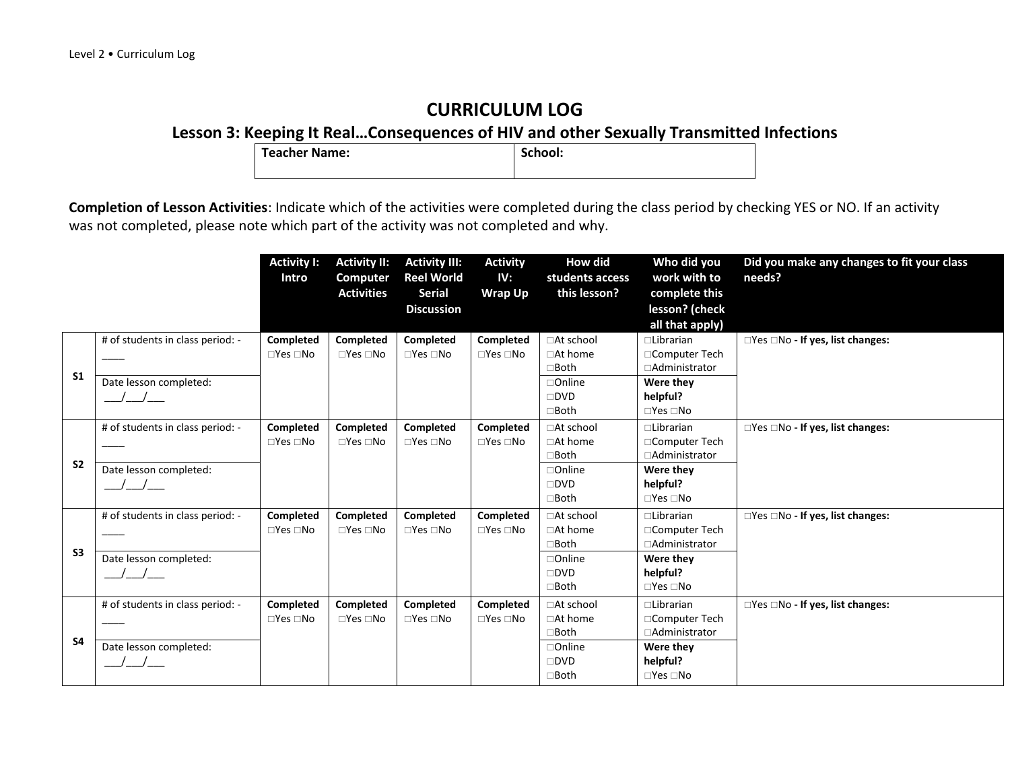**Lesson 3: Keeping It Real...Consequences of HIV and other Sexually Transmitted Infections**<br>
Teacher Name: <br>
School:

**Teacher Name:** 

|                |                                                                             | <b>Activity I:</b><br>Intro                    | <b>Activity II:</b><br>Computer<br><b>Activities</b> | <b>Activity III:</b><br><b>Reel World</b><br><b>Serial</b><br><b>Discussion</b> | <b>Activity</b><br>IV:<br><b>Wrap Up</b> | <b>How did</b><br>students access<br>this lesson?                                               | Who did you<br>work with to<br>complete this<br>lesson? (check<br>all that apply)                           | Did you make any changes to fit your class<br>needs? |
|----------------|-----------------------------------------------------------------------------|------------------------------------------------|------------------------------------------------------|---------------------------------------------------------------------------------|------------------------------------------|-------------------------------------------------------------------------------------------------|-------------------------------------------------------------------------------------------------------------|------------------------------------------------------|
| S <sub>1</sub> | # of students in class period: -<br>Date lesson completed:                  | Completed<br>$\square$ Yes $\square$ No        | Completed<br>$\Box$ Yes $\Box$ No                    | Completed<br>$\Box$ Yes $\Box$ No                                               | Completed<br>$\square$ Yes $\square$ No  | □At school<br>$\Box$ At home<br>$\Box$ Both<br>□Online<br>$\square$ DVD<br>$\Box$ Both          | $\Box$ Librarian<br>□Computer Tech<br>□Administrator<br>Were they<br>helpful?<br>$\Box$ Yes $\Box$ No       | □Yes □No - If yes, list changes:                     |
| S <sub>2</sub> | # of students in class period: -<br>Date lesson completed:                  | <b>Completed</b><br>$\square$ Yes $\square$ No | Completed<br>$\Box$ Yes $\Box$ No                    | Completed<br>$\Box$ Yes $\Box$ No                                               | Completed<br>$\Box$ Yes $\Box$ No        | □At school<br>$\Box$ At home<br>□Both<br>□Online<br>$\square$ DVD<br>$\Box$ Both                | $\Box$ Librarian<br>□Computer Tech<br>□Administrator<br>Were they<br>helpful?<br>$\Box$ Yes $\Box$ No       | $\Box$ Yes $\Box$ No - If yes, list changes:         |
| S <sub>3</sub> | # of students in class period: -<br>Date lesson completed:<br>$\frac{1}{2}$ | <b>Completed</b><br>$\square$ Yes $\square$ No | Completed<br>$\Box$ Yes $\Box$ No                    | Completed<br>$\Box$ Yes $\Box$ No                                               | Completed<br>$\square$ Yes $\square$ No  | □At school<br>$\Box$ At home<br>$\Box$ Both<br>□Online<br>$\square$ DVD<br>$\Box$ Both          | $\Box$ Librarian<br>□Computer Tech<br>□Administrator<br>Were they<br>helpful?<br>$\Box$ Yes $\Box$ No       | □Yes □No - If yes, list changes:                     |
| <b>S4</b>      | # of students in class period: -<br>Date lesson completed:                  | Completed<br>$\square$ Yes $\square$ No        | Completed<br>$\Box$ Yes $\Box$ No                    | Completed<br>$\Box$ Yes $\Box$ No                                               | Completed<br>$\Box$ Yes $\Box$ No        | □At school<br>$\Box$ At home<br>$\Box$ Both<br>$\Box$ Online<br>$\square$ DVD<br>$\square$ Both | $\Box$ Librarian<br>□Computer Tech<br>□Administrator<br>Were they<br>helpful?<br>$\square$ Yes $\square$ No | □Yes □No - If yes, list changes:                     |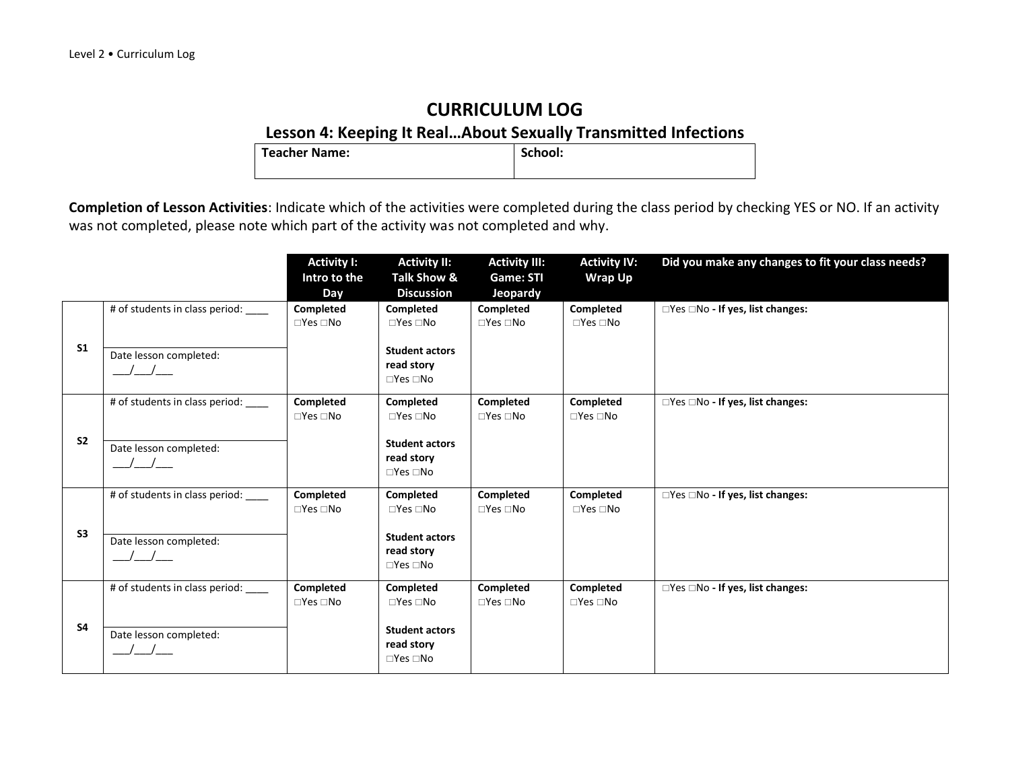# **Lesson 4: Keeping It Real... About Sexually Transmitted Infections**<br> **School:** School:

**Teacher Name:** 

|                |                                                                                                             | <b>Activity I:</b><br>Intro to the<br>Day | <b>Activity II:</b><br>Talk Show &<br><b>Discussion</b>                                          | <b>Activity III:</b><br>Game: STI<br>Jeopardy | <b>Activity IV:</b><br><b>Wrap Up</b> | Did you make any changes to fit your class needs? |
|----------------|-------------------------------------------------------------------------------------------------------------|-------------------------------------------|--------------------------------------------------------------------------------------------------|-----------------------------------------------|---------------------------------------|---------------------------------------------------|
| S <sub>1</sub> | # of students in class period:<br>Date lesson completed:                                                    | Completed<br>$\Box$ Yes $\Box$ No         | Completed<br>$\Box$ Yes $\Box$ No<br><b>Student actors</b><br>read story<br>$\Box$ Yes $\Box$ No | Completed<br>$\Box$ Yes $\Box$ No             | Completed<br>$\Box$ Yes $\Box$ No     | □Yes □No - If yes, list changes:                  |
| S <sub>2</sub> | # of students in class period: _<br>Date lesson completed:<br>$\left  \begin{array}{c} \end{array} \right $ | Completed<br>$\Box$ Yes $\Box$ No         | Completed<br>$\Box$ Yes $\Box$ No<br><b>Student actors</b><br>read story<br>$\Box$ Yes $\Box$ No | Completed<br>$\square$ Yes $\square$ No       | Completed<br>$\Box$ Yes $\Box$ No     | □Yes □No - If yes, list changes:                  |
| S <sub>3</sub> | # of students in class period:<br>Date lesson completed:                                                    | Completed<br>$\square$ Yes $\square$ No   | Completed<br>$\Box$ Yes $\Box$ No<br><b>Student actors</b><br>read story<br>$\Box$ Yes $\Box$ No | Completed<br>$\square$ Yes $\square$ No       | Completed<br>$\Box$ Yes $\Box$ No     | □Yes □No - If yes, list changes:                  |
| <b>S4</b>      | # of students in class period: ____<br>Date lesson completed:                                               | Completed<br>$\Box$ Yes $\Box$ No         | Completed<br>$\Box$ Yes $\Box$ No<br><b>Student actors</b><br>read story<br>$\Box$ Yes $\Box$ No | Completed<br>$\Box$ Yes $\Box$ No             | Completed<br>$\Box$ Yes $\Box$ No     | □Yes □No - If yes, list changes:                  |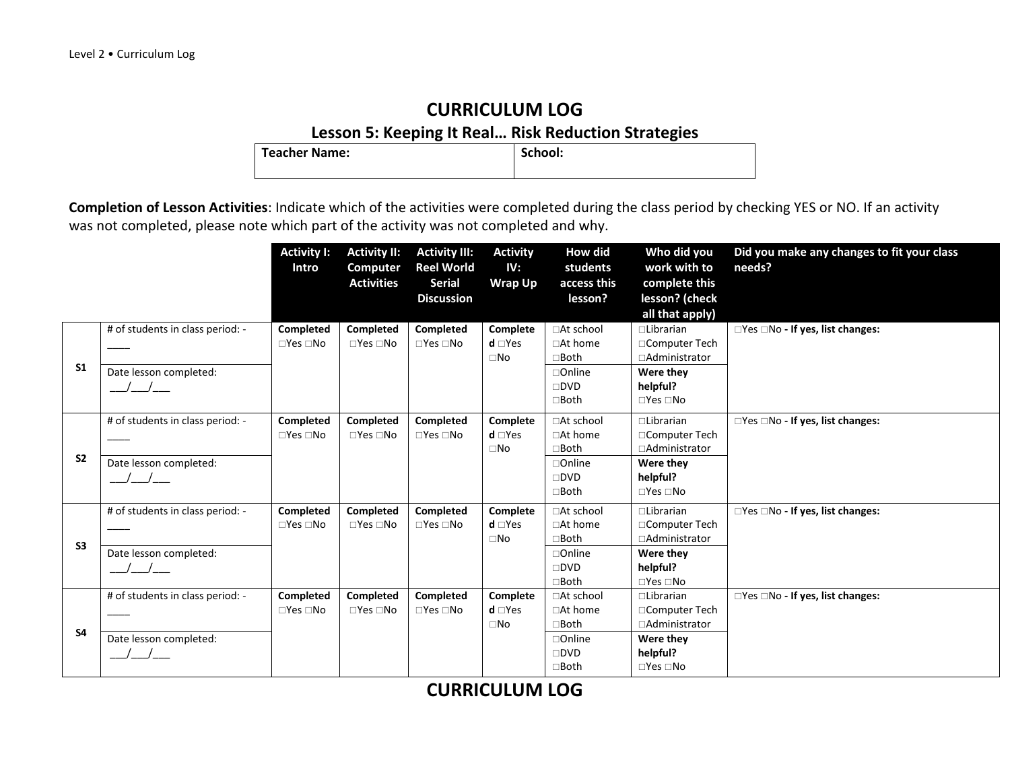## **CURRICULUM LOG Lesson 5: Keeping It Real… Risk Reduction Strategies**

**Teacher Name:** 

**Completion of Lesson Activities**: Indicate which of the activities were completed during the class period by checking YES or NO. If an activity was not completed, please note which part of the activity was not completed and why.

|                |                                  | <b>Activity I:</b><br>Intro | <b>Activity II:</b><br><b>Computer</b> | <b>Activity III:</b><br><b>Reel World</b> | <b>Activity</b><br>IV: | How did<br>students | Who did you<br>work with to | Did you make any changes to fit your class<br>needs? |
|----------------|----------------------------------|-----------------------------|----------------------------------------|-------------------------------------------|------------------------|---------------------|-----------------------------|------------------------------------------------------|
|                |                                  |                             | <b>Activities</b>                      | <b>Serial</b>                             | <b>Wrap Up</b>         | access this         | complete this               |                                                      |
|                |                                  |                             |                                        | <b>Discussion</b>                         |                        | lesson?             | lesson? (check              |                                                      |
|                |                                  |                             |                                        |                                           |                        |                     | all that apply)             |                                                      |
|                | # of students in class period: - | Completed                   | Completed                              | Completed                                 | Complete               | □At school          | $\Box$ Librarian            | □Yes □No - If yes, list changes:                     |
|                |                                  | $\Box$ Yes $\Box$ No        | $\Box$ Yes $\Box$ No                   | $\Box$ Yes $\Box$ No                      | $d \Box Yes$           | $\Box$ At home      | □Computer Tech              |                                                      |
|                |                                  |                             |                                        |                                           | $\square$ No           | $\square$ Both      | □Administrator              |                                                      |
| S <sub>1</sub> | Date lesson completed:           |                             |                                        |                                           |                        | $\Box$ Online       | Were they                   |                                                      |
|                | $\sqrt{2}$                       |                             |                                        |                                           |                        | $\square$ DVD       | helpful?                    |                                                      |
|                |                                  |                             |                                        |                                           |                        | $\Box$ Both         | $\Box$ Yes $\Box$ No        |                                                      |
|                | # of students in class period: - | <b>Completed</b>            | Completed                              | <b>Completed</b>                          | Complete               | □At school          | $\Box$ Librarian            | $\Box$ Yes $\Box$ No - If yes, list changes:         |
|                |                                  | $\Box$ Yes $\Box$ No        | $\Box$ Yes $\Box$ No                   | $\Box$ Yes $\Box$ No                      | $d \Box Yes$           | □At home            | □Computer Tech              |                                                      |
|                |                                  |                             |                                        |                                           | $\square$ No           | $\Box$ Both         | □Administrator              |                                                      |
| S <sub>2</sub> | Date lesson completed:           |                             |                                        |                                           |                        | $\Box$ Online       | Were they                   |                                                      |
|                |                                  |                             |                                        |                                           |                        | $\square$ DVD       | helpful?                    |                                                      |
|                |                                  |                             |                                        |                                           |                        | $\Box$ Both         | $\Box$ Yes $\Box$ No        |                                                      |
|                | # of students in class period: - | Completed                   | Completed                              | Completed                                 | Complete               | □At school          | <b>Librarian</b>            | □Yes □No - If yes, list changes:                     |
|                |                                  | $\square$ Yes $\square$ No  | $\Box$ Yes $\Box$ No                   | $\Box$ Yes $\Box$ No                      | $d \Box Yes$           | $\Box$ At home      | □Computer Tech              |                                                      |
| S <sub>3</sub> |                                  |                             |                                        |                                           | $\square$ No           | $\Box$ Both         | □Administrator              |                                                      |
|                | Date lesson completed:           |                             |                                        |                                           |                        | $\Box$ Online       | Were they                   |                                                      |
|                |                                  |                             |                                        |                                           |                        | $\square$ DVD       | helpful?                    |                                                      |
|                |                                  |                             |                                        |                                           |                        | $\Box$ Both         | $\Box$ Yes $\Box$ No        |                                                      |
|                | # of students in class period: - | Completed                   | Completed                              | Completed                                 | Complete               | □At school          | $\Box$ Librarian            | □Yes □No - If yes, list changes:                     |
|                |                                  | $\Box$ Yes $\Box$ No        | $\Box$ Yes $\Box$ No                   | $\Box$ Yes $\Box$ No                      | $d \Box Yes$           | $\Box$ At home      | □Computer Tech              |                                                      |
| <b>S4</b>      |                                  |                             |                                        |                                           | $\square$ No           | $\square$ Both      | □Administrator              |                                                      |
|                | Date lesson completed:           |                             |                                        |                                           |                        | $\Box$ Online       | Were they                   |                                                      |
|                |                                  |                             |                                        |                                           |                        | $\square$ DVD       | helpful?                    |                                                      |
|                |                                  |                             |                                        |                                           |                        | $\Box$ Both         | $\Box$ Yes $\Box$ No        |                                                      |

**CURRICULUM LOG**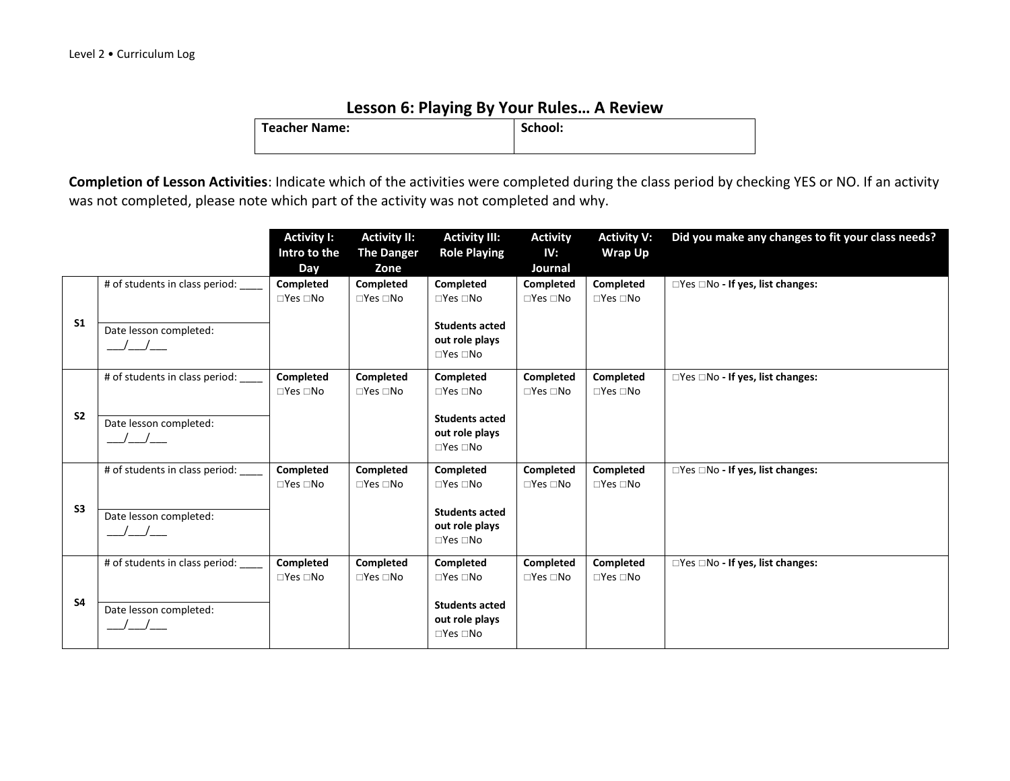#### **Lesson 6: Playing By Your Rules… A Review**

| <b>Teacher Name:</b> | School: |
|----------------------|---------|
|                      |         |

|                |                                                                            | <b>Activity I:</b><br>Intro to the<br>Day | <b>Activity II:</b><br><b>The Danger</b><br>Zone | <b>Activity III:</b><br><b>Role Playing</b>                                                          | <b>Activity</b><br>IV:<br>Journal | <b>Activity V:</b><br><b>Wrap Up</b>     | Did you make any changes to fit your class needs? |
|----------------|----------------------------------------------------------------------------|-------------------------------------------|--------------------------------------------------|------------------------------------------------------------------------------------------------------|-----------------------------------|------------------------------------------|---------------------------------------------------|
| S <sub>1</sub> | # of students in class period:<br>Date lesson completed:<br>$\sqrt{2}$     | Completed<br>$\Box$ Yes $\Box$ No         | Completed<br>$\square$ Yes $\square$ No          | Completed<br>$\Box$ Yes $\Box$ No<br><b>Students acted</b><br>out role plays<br>$\Box$ Yes $\Box$ No | Completed<br>$\Box$ Yes $\Box$ No | Completed<br>$\square$ Yes $\square$ No  | $\Box$ Yes $\Box$ No - If yes, list changes:      |
| S <sub>2</sub> | # of students in class period:<br>Date lesson completed:<br>$\overline{1}$ | Completed<br>$\Box$ Yes $\Box$ No         | Completed<br>$\square$ Yes $\square$ No          | Completed<br>$\Box$ Yes $\Box$ No<br><b>Students acted</b><br>out role plays<br>$\Box$ Yes $\Box$ No | Completed<br>$\Box$ Yes $\Box$ No | Completed<br>$\square$ Yes $\square$ No  | $\Box$ Yes $\Box$ No - If yes, list changes:      |
| S <sub>3</sub> | # of students in class period:<br>Date lesson completed:                   | <b>Completed</b><br>$\Box$ Yes $\Box$ No  | <b>Completed</b><br>$\Box$ Yes $\Box$ No         | Completed<br>$\Box$ Yes $\Box$ No<br><b>Students acted</b><br>out role plays<br>$\Box$ Yes $\Box$ No | Completed<br>$\Box$ Yes $\Box$ No | <b>Completed</b><br>$\Box$ Yes $\Box$ No | $\Box$ Yes $\Box$ No - If yes, list changes:      |
| <b>S4</b>      | # of students in class period:<br>Date lesson completed:                   | <b>Completed</b><br>$\Box$ Yes $\Box$ No  | <b>Completed</b><br>$\square$ Yes $\square$ No   | Completed<br>$\Box$ Yes $\Box$ No<br><b>Students acted</b><br>out role plays<br>$\Box$ Yes $\Box$ No | Completed<br>$\Box$ Yes $\Box$ No | Completed<br>$\Box$ Yes $\Box$ No        | $\Box$ Yes $\Box$ No - If yes, list changes:      |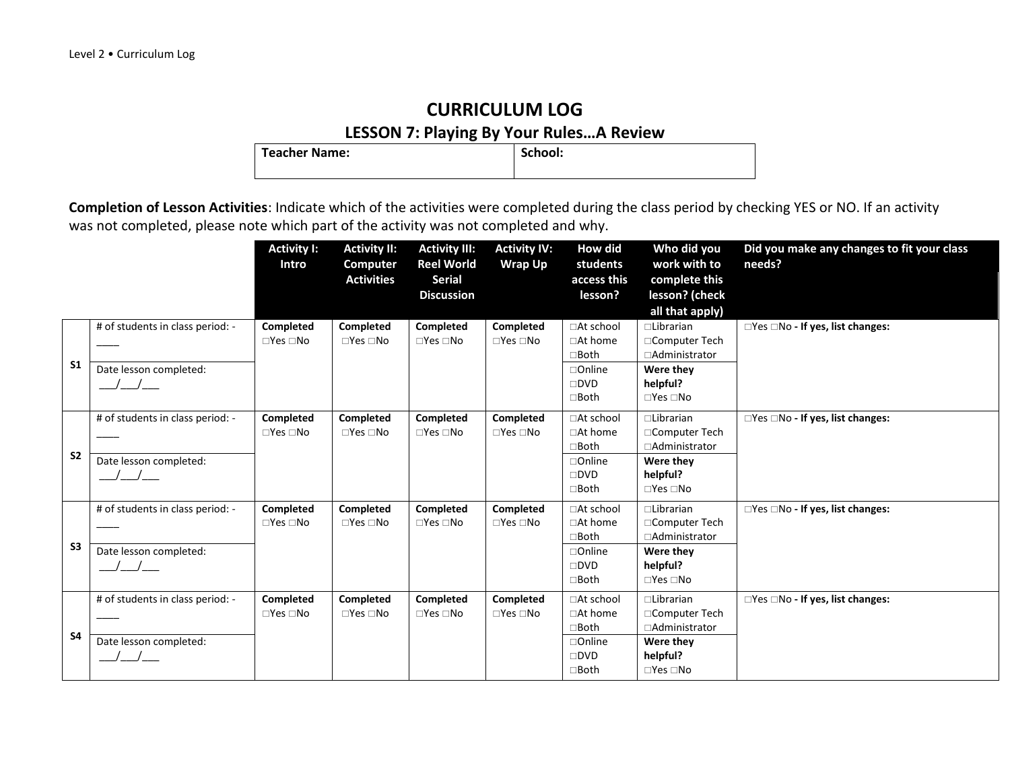## **CURRICULUM LOG LESSON 7: Playing By Your Rules...A Review**<br>| School: | School:

**Teacher Name:** 

|                |                                                            | <b>Activity I:</b><br>Intro              | <b>Activity II:</b><br>Computer<br><b>Activities</b> | <b>Activity III:</b><br><b>Reel World</b><br><b>Serial</b><br><b>Discussion</b> | <b>Activity IV:</b><br><b>Wrap Up</b>   | How did<br>students<br>access this<br>lesson?                                                      | Who did you<br>work with to<br>complete this<br>lesson? (check<br>all that apply)                           | Did you make any changes to fit your class<br>needs? |
|----------------|------------------------------------------------------------|------------------------------------------|------------------------------------------------------|---------------------------------------------------------------------------------|-----------------------------------------|----------------------------------------------------------------------------------------------------|-------------------------------------------------------------------------------------------------------------|------------------------------------------------------|
| S <sub>1</sub> | # of students in class period: -<br>Date lesson completed: | Completed<br>$\Box$ Yes $\Box$ No        | Completed<br>$\Box$ Yes $\Box$ No                    | Completed<br>$\Box$ Yes $\Box$ No                                               | Completed<br>$\square$ Yes $\square$ No | □At school<br>$\Box$ At home<br>$\Box$ Both<br>$\Box$ Online<br>$\square$ DVD<br>$\square$ Both    | □Librarian<br>□Computer Tech<br>□Administrator<br>Were they<br>helpful?<br>$\Box$ Yes $\Box$ No             | □Yes □No - If yes, list changes:                     |
| S <sub>2</sub> | # of students in class period: -<br>Date lesson completed: | <b>Completed</b><br>$\Box$ Yes $\Box$ No | <b>Completed</b><br>$\Box$ Yes $\Box$ No             | Completed<br>$\Box$ Yes $\Box$ No                                               | Completed<br>$\Box$ Yes $\Box$ No       | □At school<br>$\Box$ At home<br>□Both<br>□Online<br>$\square$ DVD<br>$\Box$ Both                   | $\Box$ Librarian<br>□Computer Tech<br>□Administrator<br>Were they<br>helpful?<br>$\Box$ Yes $\Box$ No       | $\Box$ Yes $\Box$ No - If yes, list changes:         |
| S3             | # of students in class period: -<br>Date lesson completed: | Completed<br>$\Box$ Yes $\Box$ No        | Completed<br>$\Box$ Yes $\Box$ No                    | Completed<br>$\square$ Yes $\square$ No                                         | Completed<br>$\Box$ Yes $\Box$ No       | □At school<br>□At home<br>□Both<br>$\Box$ Online<br>$\square$ DVD<br>□Both                         | $\Box$ Librarian<br>□Computer Tech<br>□Administrator<br>Were they<br>helpful?<br>$\square$ Yes $\square$ No | □Yes □No - If yes, list changes:                     |
| <b>S4</b>      | # of students in class period: -<br>Date lesson completed: | Completed<br>$\Box$ Yes $\Box$ No        | Completed<br>$\Box$ Yes $\Box$ No                    | Completed<br>$\square$ Yes $\square$ No                                         | Completed<br>$\Box$ Yes $\Box$ No       | □At school<br>$\Box$ At home<br>$\square$ Both<br>$\Box$ Online<br>$\square$ DVD<br>$\square$ Both | $\Box$ Librarian<br>□Computer Tech<br>□Administrator<br>Were they<br>helpful?<br>$\Box$ Yes $\Box$ No       | □Yes □No - If yes, list changes:                     |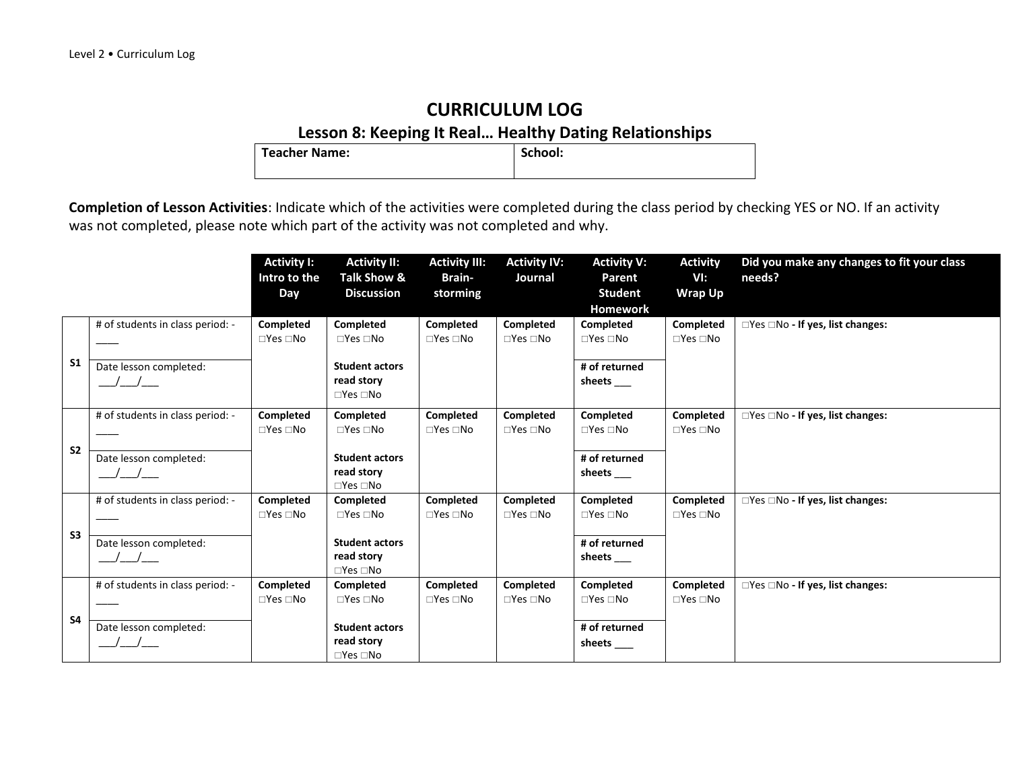## **CURRICULUM LOG Lesson 8: Keeping It Real... Healthy Dating Relationships**<br>er Name: <br>School:

**Teacher Name:** 

|                |                                               | <b>Activity I:</b>   | <b>Activity II:</b>              | <b>Activity III:</b>       | <b>Activity IV:</b>  | <b>Activity V:</b>       | <b>Activity</b>            | Did you make any changes to fit your class   |
|----------------|-----------------------------------------------|----------------------|----------------------------------|----------------------------|----------------------|--------------------------|----------------------------|----------------------------------------------|
|                |                                               | Intro to the<br>Day  | Talk Show &<br><b>Discussion</b> | Brain-<br>storming         | Journal              | Parent<br><b>Student</b> | VI:<br>Wrap Up             | needs?                                       |
|                |                                               |                      |                                  |                            |                      | <b>Homework</b>          |                            |                                              |
|                | # of students in class period: -              | Completed            | Completed                        | Completed                  | Completed            | Completed                | Completed                  | $\Box$ Yes $\Box$ No - If yes, list changes: |
|                |                                               | $\Box$ Yes $\Box$ No | $\Box$ Yes $\Box$ No             | $\square$ Yes $\square$ No | $\Box$ Yes $\Box$ No | $\Box$ Yes $\Box$ No     | $\Box$ Yes $\Box$ No       |                                              |
| S <sub>1</sub> | Date lesson completed:                        |                      | <b>Student actors</b>            |                            |                      | # of returned            |                            |                                              |
|                | $\left  \begin{array}{c} \end{array} \right $ |                      | read story                       |                            |                      | sheets                   |                            |                                              |
|                |                                               |                      | $\Box$ Yes $\Box$ No             |                            |                      |                          |                            |                                              |
|                | # of students in class period: -              | Completed            | Completed                        | Completed                  | Completed            | Completed                | Completed                  | □Yes □No - If yes, list changes:             |
|                |                                               | $\Box$ Yes $\Box$ No | $\Box$ Yes $\Box$ No             | $\square$ Yes $\square$ No | $\Box$ Yes $\Box$ No | $\Box$ Yes $\Box$ No     | $\square$ Yes $\square$ No |                                              |
| S <sub>2</sub> | Date lesson completed:                        |                      | <b>Student actors</b>            |                            |                      | # of returned            |                            |                                              |
|                |                                               |                      | read story                       |                            |                      | sheets                   |                            |                                              |
|                |                                               |                      | $\Box$ Yes $\Box$ No             |                            |                      |                          |                            |                                              |
|                | # of students in class period: -              | Completed            | Completed                        | Completed                  | Completed            | Completed                | Completed                  | □Yes □No - If yes, list changes:             |
|                |                                               | $\Box$ Yes $\Box$ No | $\Box$ Yes $\Box$ No             | $\square$ Yes $\square$ No | $\Box$ Yes $\Box$ No | $\Box$ Yes $\Box$ No     | $\Box$ Yes $\Box$ No       |                                              |
| S <sub>3</sub> |                                               |                      | <b>Student actors</b>            |                            |                      | # of returned            |                            |                                              |
|                | Date lesson completed:<br>$\sqrt{2}$          |                      | read story                       |                            |                      | sheets                   |                            |                                              |
|                |                                               |                      | $\Box$ Yes $\Box$ No             |                            |                      |                          |                            |                                              |
|                | # of students in class period: -              | Completed            | Completed                        | <b>Completed</b>           | Completed            | Completed                | Completed                  | $\Box$ Yes $\Box$ No - If yes, list changes: |
|                |                                               | $\Box$ Yes $\Box$ No | $\Box$ Yes $\Box$ No             | $\square$ Yes $\square$ No | $\Box$ Yes $\Box$ No | $\Box$ Yes $\Box$ No     | $\Box$ Yes $\Box$ No       |                                              |
| <b>S4</b>      |                                               |                      | <b>Student actors</b>            |                            |                      |                          |                            |                                              |
|                | Date lesson completed:                        |                      | read story                       |                            |                      | # of returned            |                            |                                              |
|                | $\sqrt{2}$                                    |                      | $\Box$ Yes $\Box$ No             |                            |                      | sheets____               |                            |                                              |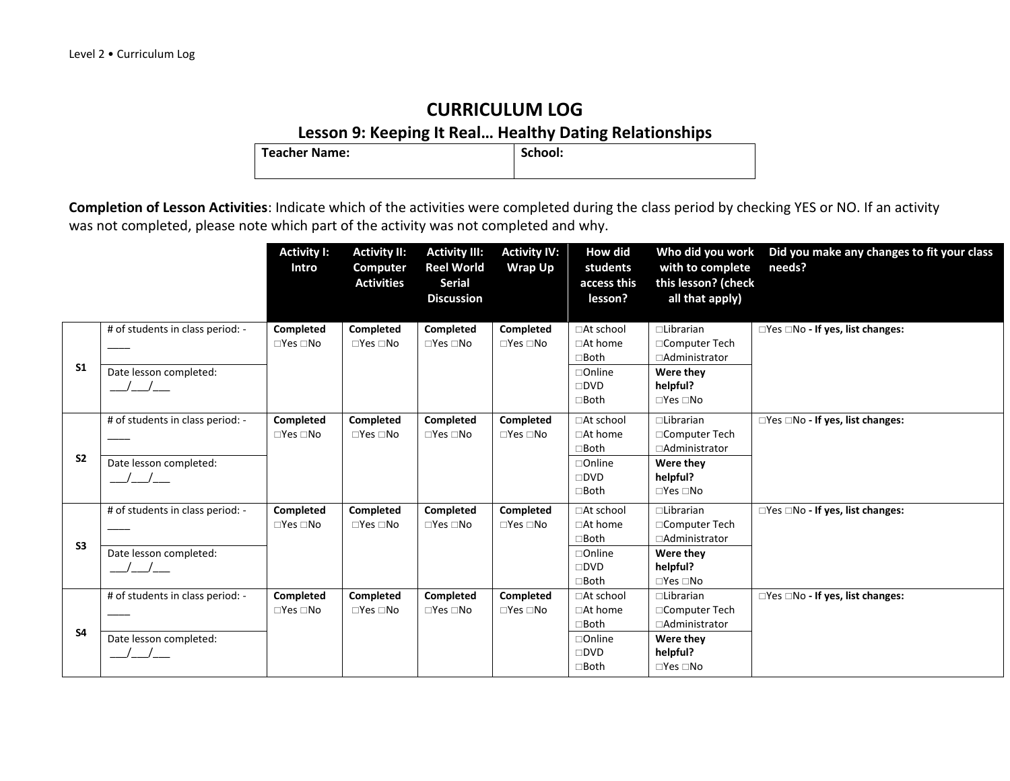## **CURRICULUM LOG Lesson 9: Keeping It Real... Healthy Dating Relationships**<br>**ler Name:** <br>lechool:

**Teacher Name:** 

|                |                                                            | <b>Activity I:</b><br><b>Intro</b> | <b>Activity II:</b><br>Computer<br><b>Activities</b> | <b>Activity III:</b><br><b>Reel World</b><br><b>Serial</b><br><b>Discussion</b> | <b>Activity IV:</b><br><b>Wrap Up</b> | How did<br>students<br>access this<br>lesson?                                                      | Who did you work<br>with to complete<br>this lesson? (check<br>all that apply)                              | Did you make any changes to fit your class<br>needs? |
|----------------|------------------------------------------------------------|------------------------------------|------------------------------------------------------|---------------------------------------------------------------------------------|---------------------------------------|----------------------------------------------------------------------------------------------------|-------------------------------------------------------------------------------------------------------------|------------------------------------------------------|
| S <sub>1</sub> | # of students in class period: -<br>Date lesson completed: | Completed<br>$\Box$ Yes $\Box$ No  | Completed<br>$\Box$ Yes $\Box$ No                    | Completed<br>$\Box$ Yes $\Box$ No                                               | Completed<br>$\Box$ Yes $\Box$ No     | □At school<br>$\Box$ At home<br>$\square$ Both<br>$\Box$ Online<br>$\square$ DVD<br>$\square$ Both | □Librarian<br>□Computer Tech<br>□Administrator<br>Were they<br>helpful?<br>$\Box$ Yes $\Box$ No             | □Yes □No - If yes, list changes:                     |
| S <sub>2</sub> | # of students in class period: -<br>Date lesson completed: | Completed<br>$\Box$ Yes $\Box$ No  | Completed<br>$\Box$ Yes $\Box$ No                    | Completed<br>$\Box$ Yes $\Box$ No                                               | Completed<br>$\Box$ Yes $\Box$ No     | □At school<br>□At home<br>$\Box$ Both<br>$\Box$ Online<br>$\square$ DVD<br>$\square$ Both          | $\Box$ Librarian<br>□Computer Tech<br>□Administrator<br>Were they<br>helpful?<br>$\square$ Yes $\square$ No | □Yes □No - If yes, list changes:                     |
| S <sub>3</sub> | # of students in class period: -<br>Date lesson completed: | Completed<br>$\Box$ Yes $\Box$ No  | Completed<br>$\Box$ Yes $\Box$ No                    | Completed<br>$\Box$ Yes $\Box$ No                                               | Completed<br>$\Box$ Yes $\Box$ No     | □At school<br>$\Box$ At home<br>$\square$ Both<br>$\Box$ Online<br>$\square$ DVD<br>$\Box$ Both    | $\Box$ Librarian<br>□Computer Tech<br>□Administrator<br>Were they<br>helpful?<br>$\Box$ Yes $\Box$ No       | □Yes □No - If yes, list changes:                     |
| <b>S4</b>      | # of students in class period: -<br>Date lesson completed: | Completed<br>$\Box$ Yes $\Box$ No  | Completed<br>$\Box$ Yes $\Box$ No                    | Completed<br>$\Box$ Yes $\Box$ No                                               | Completed<br>$\Box$ Yes $\Box$ No     | □At school<br>□At home<br>$\Box$ Both<br>$\Box$ Online<br>$\square$ DVD<br>$\square$ Both          | $\Box$ Librarian<br>□Computer Tech<br>□Administrator<br>Were they<br>helpful?<br>$\Box$ Yes $\Box$ No       | □Yes □No - If yes, list changes:                     |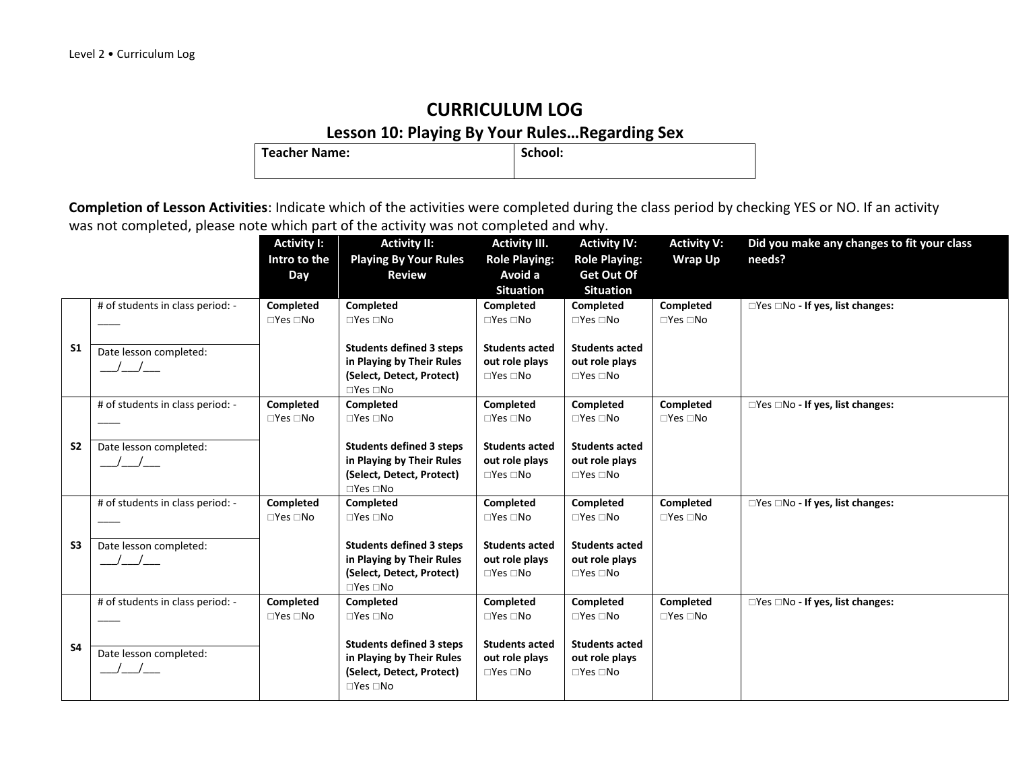## **CURRICULUM LOG Lesson 10: Playing By Your Rules…Regarding Sex**

**Teacher Name:** 

|                |                                  | <b>Activity I:</b><br>Intro to the | <b>Activity II:</b><br><b>Playing By Your Rules</b> | <b>Activity III.</b><br><b>Role Playing:</b> | <b>Activity IV:</b><br><b>Role Playing:</b> | <b>Activity V:</b><br><b>Wrap Up</b> | Did you make any changes to fit your class<br>needs? |
|----------------|----------------------------------|------------------------------------|-----------------------------------------------------|----------------------------------------------|---------------------------------------------|--------------------------------------|------------------------------------------------------|
|                |                                  | Day                                | <b>Review</b>                                       | Avoid a                                      | Get Out Of                                  |                                      |                                                      |
|                |                                  |                                    |                                                     | <b>Situation</b>                             | <b>Situation</b>                            |                                      |                                                      |
|                | # of students in class period: - | Completed                          | Completed                                           | Completed                                    | Completed                                   | Completed                            | □Yes □No - If yes, list changes:                     |
|                |                                  | $\Box$ Yes $\Box$ No               | $\Box$ Yes $\Box$ No                                | $\Box$ Yes $\Box$ No                         | $\square$ Yes $\square$ No                  | $\Box$ Yes $\Box$ No                 |                                                      |
| S <sub>1</sub> |                                  |                                    | <b>Students defined 3 steps</b>                     | <b>Students acted</b>                        | <b>Students acted</b>                       |                                      |                                                      |
|                | Date lesson completed:           |                                    | in Playing by Their Rules                           | out role plays                               | out role plays                              |                                      |                                                      |
|                | $/$ _/__                         |                                    | (Select, Detect, Protect)                           | $\Box$ Yes $\Box$ No                         | $\Box$ Yes $\Box$ No                        |                                      |                                                      |
|                |                                  |                                    | $\Box$ Yes $\Box$ No                                |                                              |                                             |                                      |                                                      |
|                | # of students in class period: - | Completed                          | Completed                                           | Completed                                    | Completed                                   | Completed                            | □Yes □No - If yes, list changes:                     |
|                |                                  | $\Box$ Yes $\Box$ No               | $\Box$ Yes $\Box$ No                                | $\Box$ Yes $\Box$ No                         | $\Box$ Yes $\Box$ No                        | $\Box$ Yes $\Box$ No                 |                                                      |
|                |                                  |                                    |                                                     |                                              |                                             |                                      |                                                      |
| S <sub>2</sub> | Date lesson completed:           |                                    | <b>Students defined 3 steps</b>                     | <b>Students acted</b>                        | <b>Students acted</b>                       |                                      |                                                      |
|                | $\sqrt{2}$                       |                                    | in Playing by Their Rules                           | out role plays                               | out role plays                              |                                      |                                                      |
|                |                                  |                                    | (Select, Detect, Protect)<br>$\Box$ Yes $\Box$ No   | $\Box$ Yes $\Box$ No                         | $\Box$ Yes $\Box$ No                        |                                      |                                                      |
|                | # of students in class period: - | Completed                          | Completed                                           | Completed                                    | Completed                                   | Completed                            | $\Box$ Yes $\Box$ No - If yes, list changes:         |
|                |                                  | $\Box$ Yes $\Box$ No               | $\Box$ Yes $\Box$ No                                | $\Box$ Yes $\Box$ No                         | $\Box$ Yes $\Box$ No                        | $\Box$ Yes $\Box$ No                 |                                                      |
|                |                                  |                                    |                                                     |                                              |                                             |                                      |                                                      |
| S <sub>3</sub> | Date lesson completed:           |                                    | <b>Students defined 3 steps</b>                     | <b>Students acted</b>                        | <b>Students acted</b>                       |                                      |                                                      |
|                |                                  |                                    | in Playing by Their Rules                           | out role plays                               | out role plays                              |                                      |                                                      |
|                |                                  |                                    | (Select, Detect, Protect)                           | $\Box$ Yes $\Box$ No                         | $\Box$ Yes $\Box$ No                        |                                      |                                                      |
|                |                                  | Completed                          | $\Box$ Yes $\Box$ No                                | Completed                                    | Completed                                   | Completed                            |                                                      |
|                | # of students in class period: - | $\Box$ Yes $\Box$ No               | Completed<br>$\Box$ Yes $\Box$ No                   | $\Box$ Yes $\Box$ No                         | $\Box$ Yes $\Box$ No                        | $\Box$ Yes $\Box$ No                 | □Yes □No - If yes, list changes:                     |
|                |                                  |                                    |                                                     |                                              |                                             |                                      |                                                      |
| <b>S4</b>      |                                  |                                    | <b>Students defined 3 steps</b>                     | <b>Students acted</b>                        | <b>Students acted</b>                       |                                      |                                                      |
|                | Date lesson completed:           |                                    | in Playing by Their Rules                           | out role plays                               | out role plays                              |                                      |                                                      |
|                |                                  |                                    | (Select, Detect, Protect)                           | $\Box$ Yes $\Box$ No                         | $\square$ Yes $\square$ No                  |                                      |                                                      |
|                |                                  |                                    | $\Box$ Yes $\Box$ No                                |                                              |                                             |                                      |                                                      |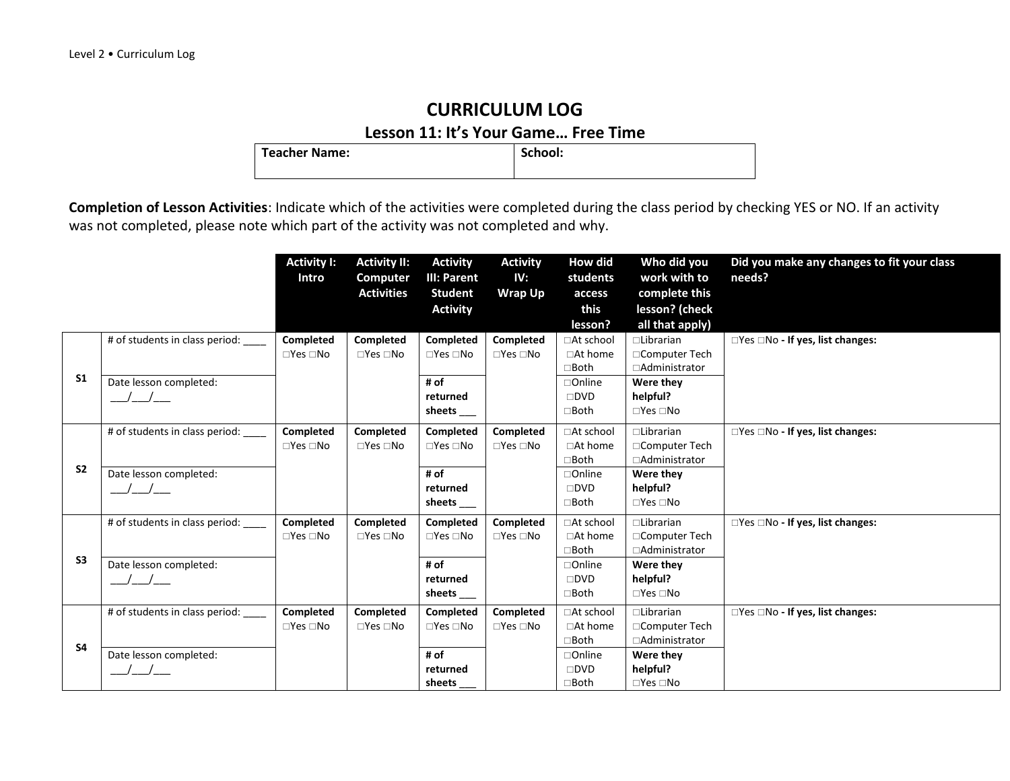#### **Lesson 11: It's Your Game… Free Time**

Teacher Name: **School: School: School: School: School: School: School: School: School: School: School: School: School: School: School: School: School: School: School: SCHOOL: SCHOOL:** 

|                |                                         | <b>Activity I:</b><br>Intro | <b>Activity II:</b><br>Computer<br><b>Activities</b> | <b>Activity</b><br>III: Parent<br><b>Student</b> | <b>Activity</b><br>IV:<br><b>Wrap Up</b> | <b>How did</b><br>students<br>access | Who did you<br>work with to<br>complete this | Did you make any changes to fit your class<br>needs? |
|----------------|-----------------------------------------|-----------------------------|------------------------------------------------------|--------------------------------------------------|------------------------------------------|--------------------------------------|----------------------------------------------|------------------------------------------------------|
|                |                                         |                             |                                                      | <b>Activity</b>                                  |                                          | this<br>lesson?                      | lesson? (check<br>all that apply)            |                                                      |
| S <sub>1</sub> | # of students in class period:          | Completed                   | Completed                                            | Completed                                        | Completed                                | □At school                           | $\Box$ Librarian                             | □Yes □No - If yes, list changes:                     |
|                |                                         | $\Box$ Yes $\Box$ No        | $\Box$ Yes $\Box$ No                                 | $\Box$ Yes $\Box$ No                             | $\Box$ Yes $\Box$ No                     | □At home                             | □Computer Tech                               |                                                      |
|                |                                         |                             |                                                      |                                                  |                                          | $\square$ Both                       | □Administrator                               |                                                      |
|                | Date lesson completed:<br>$\frac{1}{2}$ |                             |                                                      | # of<br>returned                                 |                                          | □Online<br>$\square$ DVD             | Were they<br>helpful?                        |                                                      |
|                |                                         |                             |                                                      | sheets____                                       |                                          | $\Box$ Both                          | $\square$ Yes $\square$ No                   |                                                      |
|                | # of students in class period:          | Completed                   | <b>Completed</b>                                     | Completed                                        | Completed                                | □At school                           | $\Box$ Librarian                             | □Yes □No - If yes, list changes:                     |
| S <sub>2</sub> |                                         | $\Box$ Yes $\Box$ No        | $\Box$ Yes $\Box$ No                                 | $\Box$ Yes $\Box$ No                             | $\Box$ Yes $\Box$ No                     | □At home                             | □Computer Tech                               |                                                      |
|                |                                         |                             |                                                      |                                                  |                                          | □Both                                | □Administrator                               |                                                      |
|                | Date lesson completed:                  |                             |                                                      | # of                                             |                                          | □Online                              | Were they                                    |                                                      |
|                |                                         |                             |                                                      | returned                                         |                                          | $\square$ DVD                        | helpful?                                     |                                                      |
|                |                                         |                             |                                                      | sheets                                           |                                          | $\Box$ Both                          | $\square$ Yes $\square$ No                   |                                                      |
| S <sub>3</sub> | # of students in class period:          | Completed                   | <b>Completed</b>                                     | Completed                                        | Completed                                | □At school                           | $\Box$ Librarian                             | □Yes □No - If yes, list changes:                     |
|                |                                         | $\Box$ Yes $\Box$ No        | $\Box$ Yes $\Box$ No                                 | $\Box$ Yes $\Box$ No                             | $\Box$ Yes $\Box$ No                     | $\Box$ At home<br>$\square$ Both     | □Computer Tech<br>□Administrator             |                                                      |
|                | Date lesson completed:                  |                             |                                                      | # of                                             |                                          | □Online                              | Were they                                    |                                                      |
|                |                                         |                             |                                                      | returned                                         |                                          | $\square$ DVD                        | helpful?                                     |                                                      |
|                |                                         |                             |                                                      | sheets $\rule{1em}{0.15mm}$                      |                                          | $\Box$ Both                          | $\square$ Yes $\square$ No                   |                                                      |
|                | # of students in class period:          | Completed                   | <b>Completed</b>                                     | Completed                                        | Completed                                | □At school                           | $\Box$ Librarian                             | $\Box$ Yes $\Box$ No - If yes, list changes:         |
| <b>S4</b>      |                                         | $\Box$ Yes $\Box$ No        | $\Box$ Yes $\Box$ No                                 | $\Box$ Yes $\Box$ No                             | $\Box$ Yes $\Box$ No                     | □At home                             | □Computer Tech                               |                                                      |
|                |                                         |                             |                                                      |                                                  |                                          | $\Box$ Both                          | □Administrator                               |                                                      |
|                | Date lesson completed:                  |                             |                                                      | # of                                             |                                          | □Online                              | Were they                                    |                                                      |
|                |                                         |                             |                                                      | returned<br>sheets                               |                                          | $\square$ DVD<br>$\Box$ Both         | helpful?<br>$\square$ Yes $\square$ No       |                                                      |
|                |                                         |                             |                                                      |                                                  |                                          |                                      |                                              |                                                      |